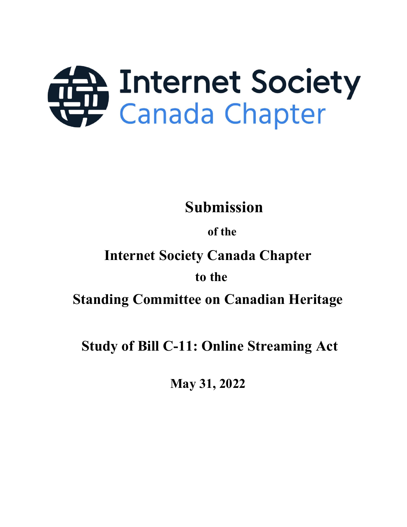

Submission

## of the

# Internet Society Canada Chapter

## to the

Standing Committee on Canadian Heritage

Study of Bill C-11: Online Streaming Act

May 31, 2022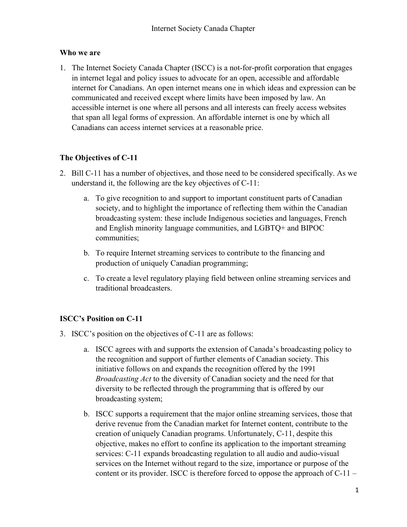#### Who we are

1. The Internet Society Canada Chapter (ISCC) is a not-for-profit corporation that engages in internet legal and policy issues to advocate for an open, accessible and affordable internet for Canadians. An open internet means one in which ideas and expression can be communicated and received except where limits have been imposed by law. An accessible internet is one where all persons and all interests can freely access websites that span all legal forms of expression. An affordable internet is one by which all Canadians can access internet services at a reasonable price.

## The Objectives of C-11

- 2. Bill C-11 has a number of objectives, and those need to be considered specifically. As we understand it, the following are the key objectives of C-11:
	- a. To give recognition to and support to important constituent parts of Canadian society, and to highlight the importance of reflecting them within the Canadian broadcasting system: these include Indigenous societies and languages, French and English minority language communities, and LGBTQ+ and BIPOC communities;
	- b. To require Internet streaming services to contribute to the financing and production of uniquely Canadian programming;
	- c. To create a level regulatory playing field between online streaming services and traditional broadcasters.

## ISCC's Position on C-11

- 3. ISCC's position on the objectives of C-11 are as follows:
	- a. ISCC agrees with and supports the extension of Canada's broadcasting policy to the recognition and support of further elements of Canadian society. This initiative follows on and expands the recognition offered by the 1991 Broadcasting Act to the diversity of Canadian society and the need for that diversity to be reflected through the programming that is offered by our broadcasting system;
	- b. ISCC supports a requirement that the major online streaming services, those that derive revenue from the Canadian market for Internet content, contribute to the creation of uniquely Canadian programs. Unfortunately, C-11, despite this objective, makes no effort to confine its application to the important streaming services: C-11 expands broadcasting regulation to all audio and audio-visual services on the Internet without regard to the size, importance or purpose of the content or its provider. ISCC is therefore forced to oppose the approach of C-11 –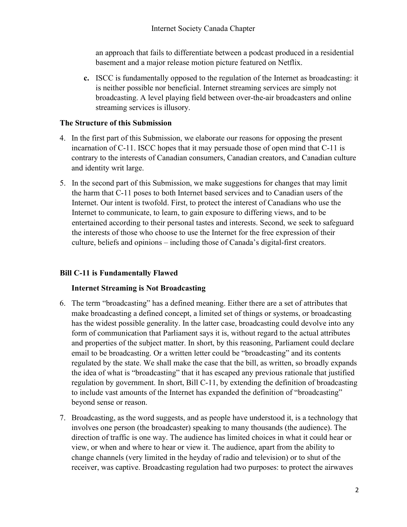an approach that fails to differentiate between a podcast produced in a residential basement and a major release motion picture featured on Netflix.

c. ISCC is fundamentally opposed to the regulation of the Internet as broadcasting: it is neither possible nor beneficial. Internet streaming services are simply not broadcasting. A level playing field between over-the-air broadcasters and online streaming services is illusory.

#### The Structure of this Submission

- 4. In the first part of this Submission, we elaborate our reasons for opposing the present incarnation of C-11. ISCC hopes that it may persuade those of open mind that C-11 is contrary to the interests of Canadian consumers, Canadian creators, and Canadian culture and identity writ large.
- 5. In the second part of this Submission, we make suggestions for changes that may limit the harm that C-11 poses to both Internet based services and to Canadian users of the Internet. Our intent is twofold. First, to protect the interest of Canadians who use the Internet to communicate, to learn, to gain exposure to differing views, and to be entertained according to their personal tastes and interests. Second, we seek to safeguard the interests of those who choose to use the Internet for the free expression of their culture, beliefs and opinions – including those of Canada's digital-first creators.

#### Bill C-11 is Fundamentally Flawed

#### Internet Streaming is Not Broadcasting

- 6. The term "broadcasting" has a defined meaning. Either there are a set of attributes that make broadcasting a defined concept, a limited set of things or systems, or broadcasting has the widest possible generality. In the latter case, broadcasting could devolve into any form of communication that Parliament says it is, without regard to the actual attributes and properties of the subject matter. In short, by this reasoning, Parliament could declare email to be broadcasting. Or a written letter could be "broadcasting" and its contents regulated by the state. We shall make the case that the bill, as written, so broadly expands the idea of what is "broadcasting" that it has escaped any previous rationale that justified regulation by government. In short, Bill C-11, by extending the definition of broadcasting to include vast amounts of the Internet has expanded the definition of "broadcasting" beyond sense or reason.
- 7. Broadcasting, as the word suggests, and as people have understood it, is a technology that involves one person (the broadcaster) speaking to many thousands (the audience). The direction of traffic is one way. The audience has limited choices in what it could hear or view, or when and where to hear or view it. The audience, apart from the ability to change channels (very limited in the heyday of radio and television) or to shut of the receiver, was captive. Broadcasting regulation had two purposes: to protect the airwaves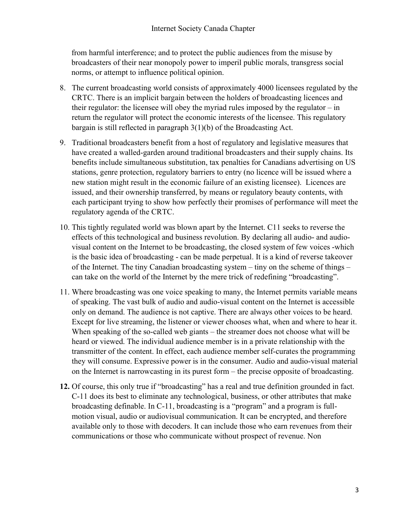from harmful interference; and to protect the public audiences from the misuse by broadcasters of their near monopoly power to imperil public morals, transgress social norms, or attempt to influence political opinion.

- 8. The current broadcasting world consists of approximately 4000 licensees regulated by the CRTC. There is an implicit bargain between the holders of broadcasting licences and their regulator: the licensee will obey the myriad rules imposed by the regulator – in return the regulator will protect the economic interests of the licensee. This regulatory bargain is still reflected in paragraph 3(1)(b) of the Broadcasting Act.
- 9. Traditional broadcasters benefit from a host of regulatory and legislative measures that have created a walled-garden around traditional broadcasters and their supply chains. Its benefits include simultaneous substitution, tax penalties for Canadians advertising on US stations, genre protection, regulatory barriers to entry (no licence will be issued where a new station might result in the economic failure of an existing licensee). Licences are issued, and their ownership transferred, by means or regulatory beauty contents, with each participant trying to show how perfectly their promises of performance will meet the regulatory agenda of the CRTC.
- 10. This tightly regulated world was blown apart by the Internet. C11 seeks to reverse the effects of this technological and business revolution. By declaring all audio- and audiovisual content on the Internet to be broadcasting, the closed system of few voices -which is the basic idea of broadcasting - can be made perpetual. It is a kind of reverse takeover of the Internet. The tiny Canadian broadcasting system – tiny on the scheme of things – can take on the world of the Internet by the mere trick of redefining "broadcasting".
- 11. Where broadcasting was one voice speaking to many, the Internet permits variable means of speaking. The vast bulk of audio and audio-visual content on the Internet is accessible only on demand. The audience is not captive. There are always other voices to be heard. Except for live streaming, the listener or viewer chooses what, when and where to hear it. When speaking of the so-called web giants – the streamer does not choose what will be heard or viewed. The individual audience member is in a private relationship with the transmitter of the content. In effect, each audience member self-curates the programming they will consume. Expressive power is in the consumer. Audio and audio-visual material on the Internet is narrowcasting in its purest form – the precise opposite of broadcasting.
- 12. Of course, this only true if "broadcasting" has a real and true definition grounded in fact. C-11 does its best to eliminate any technological, business, or other attributes that make broadcasting definable. In C-11, broadcasting is a "program" and a program is fullmotion visual, audio or audiovisual communication. It can be encrypted, and therefore available only to those with decoders. It can include those who earn revenues from their communications or those who communicate without prospect of revenue. Non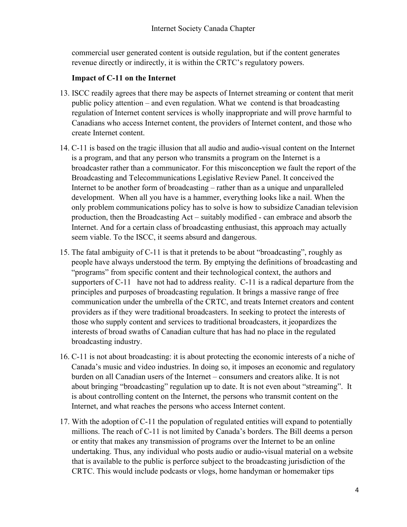commercial user generated content is outside regulation, but if the content generates revenue directly or indirectly, it is within the CRTC's regulatory powers.

#### Impact of C-11 on the Internet

- 13. ISCC readily agrees that there may be aspects of Internet streaming or content that merit public policy attention – and even regulation. What we contend is that broadcasting regulation of Internet content services is wholly inappropriate and will prove harmful to Canadians who access Internet content, the providers of Internet content, and those who create Internet content.
- 14. C-11 is based on the tragic illusion that all audio and audio-visual content on the Internet is a program, and that any person who transmits a program on the Internet is a broadcaster rather than a communicator. For this misconception we fault the report of the Broadcasting and Telecommunications Legislative Review Panel. It conceived the Internet to be another form of broadcasting – rather than as a unique and unparalleled development. When all you have is a hammer, everything looks like a nail. When the only problem communications policy has to solve is how to subsidize Canadian television production, then the Broadcasting Act – suitably modified - can embrace and absorb the Internet. And for a certain class of broadcasting enthusiast, this approach may actually seem viable. To the ISCC, it seems absurd and dangerous.
- 15. The fatal ambiguity of C-11 is that it pretends to be about "broadcasting", roughly as people have always understood the term. By emptying the definitions of broadcasting and "programs" from specific content and their technological context, the authors and supporters of C-11 have not had to address reality. C-11 is a radical departure from the principles and purposes of broadcasting regulation. It brings a massive range of free communication under the umbrella of the CRTC, and treats Internet creators and content providers as if they were traditional broadcasters. In seeking to protect the interests of those who supply content and services to traditional broadcasters, it jeopardizes the interests of broad swaths of Canadian culture that has had no place in the regulated broadcasting industry.
- 16. C-11 is not about broadcasting: it is about protecting the economic interests of a niche of Canada's music and video industries. In doing so, it imposes an economic and regulatory burden on all Canadian users of the Internet – consumers and creators alike. It is not about bringing "broadcasting" regulation up to date. It is not even about "streaming". It is about controlling content on the Internet, the persons who transmit content on the Internet, and what reaches the persons who access Internet content.
- 17. With the adoption of C-11 the population of regulated entities will expand to potentially millions. The reach of C-11 is not limited by Canada's borders. The Bill deems a person or entity that makes any transmission of programs over the Internet to be an online undertaking. Thus, any individual who posts audio or audio-visual material on a website that is available to the public is perforce subject to the broadcasting jurisdiction of the CRTC. This would include podcasts or vlogs, home handyman or homemaker tips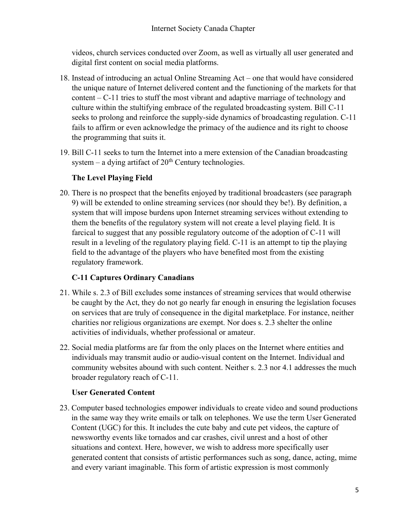videos, church services conducted over Zoom, as well as virtually all user generated and digital first content on social media platforms.

- 18. Instead of introducing an actual Online Streaming Act one that would have considered the unique nature of Internet delivered content and the functioning of the markets for that content – C-11 tries to stuff the most vibrant and adaptive marriage of technology and culture within the stultifying embrace of the regulated broadcasting system. Bill C-11 seeks to prolong and reinforce the supply-side dynamics of broadcasting regulation. C-11 fails to affirm or even acknowledge the primacy of the audience and its right to choose the programming that suits it.
- 19. Bill C-11 seeks to turn the Internet into a mere extension of the Canadian broadcasting system – a dying artifact of  $20<sup>th</sup>$  Century technologies.

## The Level Playing Field

20. There is no prospect that the benefits enjoyed by traditional broadcasters (see paragraph 9) will be extended to online streaming services (nor should they be!). By definition, a system that will impose burdens upon Internet streaming services without extending to them the benefits of the regulatory system will not create a level playing field. It is farcical to suggest that any possible regulatory outcome of the adoption of C-11 will result in a leveling of the regulatory playing field. C-11 is an attempt to tip the playing field to the advantage of the players who have benefited most from the existing regulatory framework.

## C-11 Captures Ordinary Canadians

- 21. While s. 2.3 of Bill excludes some instances of streaming services that would otherwise be caught by the Act, they do not go nearly far enough in ensuring the legislation focuses on services that are truly of consequence in the digital marketplace. For instance, neither charities nor religious organizations are exempt. Nor does s. 2.3 shelter the online activities of individuals, whether professional or amateur.
- 22. Social media platforms are far from the only places on the Internet where entities and individuals may transmit audio or audio-visual content on the Internet. Individual and community websites abound with such content. Neither s. 2.3 nor 4.1 addresses the much broader regulatory reach of C-11.

## User Generated Content

23. Computer based technologies empower individuals to create video and sound productions in the same way they write emails or talk on telephones. We use the term User Generated Content (UGC) for this. It includes the cute baby and cute pet videos, the capture of newsworthy events like tornados and car crashes, civil unrest and a host of other situations and context. Here, however, we wish to address more specifically user generated content that consists of artistic performances such as song, dance, acting, mime and every variant imaginable. This form of artistic expression is most commonly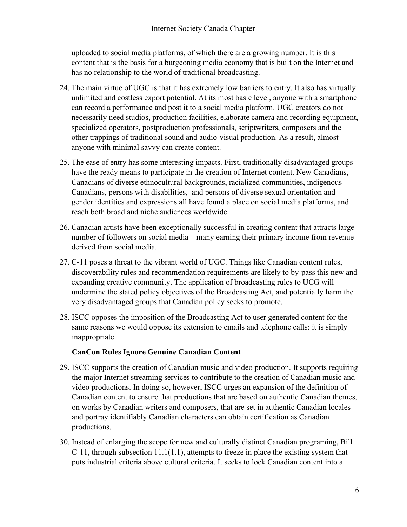uploaded to social media platforms, of which there are a growing number. It is this content that is the basis for a burgeoning media economy that is built on the Internet and has no relationship to the world of traditional broadcasting.

- 24. The main virtue of UGC is that it has extremely low barriers to entry. It also has virtually unlimited and costless export potential. At its most basic level, anyone with a smartphone can record a performance and post it to a social media platform. UGC creators do not necessarily need studios, production facilities, elaborate camera and recording equipment, specialized operators, postproduction professionals, scriptwriters, composers and the other trappings of traditional sound and audio-visual production. As a result, almost anyone with minimal savvy can create content.
- 25. The ease of entry has some interesting impacts. First, traditionally disadvantaged groups have the ready means to participate in the creation of Internet content. New Canadians, Canadians of diverse ethnocultural backgrounds, racialized communities, indigenous Canadians, persons with disabilities, and persons of diverse sexual orientation and gender identities and expressions all have found a place on social media platforms, and reach both broad and niche audiences worldwide.
- 26. Canadian artists have been exceptionally successful in creating content that attracts large number of followers on social media – many earning their primary income from revenue derived from social media.
- 27. C-11 poses a threat to the vibrant world of UGC. Things like Canadian content rules, discoverability rules and recommendation requirements are likely to by-pass this new and expanding creative community. The application of broadcasting rules to UCG will undermine the stated policy objectives of the Broadcasting Act, and potentially harm the very disadvantaged groups that Canadian policy seeks to promote.
- 28. ISCC opposes the imposition of the Broadcasting Act to user generated content for the same reasons we would oppose its extension to emails and telephone calls: it is simply inappropriate.

#### CanCon Rules Ignore Genuine Canadian Content

- 29. ISCC supports the creation of Canadian music and video production. It supports requiring the major Internet streaming services to contribute to the creation of Canadian music and video productions. In doing so, however, ISCC urges an expansion of the definition of Canadian content to ensure that productions that are based on authentic Canadian themes, on works by Canadian writers and composers, that are set in authentic Canadian locales and portray identifiably Canadian characters can obtain certification as Canadian productions.
- 30. Instead of enlarging the scope for new and culturally distinct Canadian programing, Bill C-11, through subsection 11.1(1.1), attempts to freeze in place the existing system that puts industrial criteria above cultural criteria. It seeks to lock Canadian content into a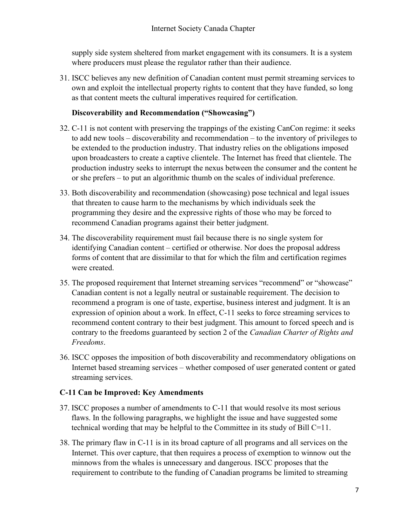supply side system sheltered from market engagement with its consumers. It is a system where producers must please the regulator rather than their audience.

31. ISCC believes any new definition of Canadian content must permit streaming services to own and exploit the intellectual property rights to content that they have funded, so long as that content meets the cultural imperatives required for certification.

#### Discoverability and Recommendation ("Showcasing")

- 32. C-11 is not content with preserving the trappings of the existing CanCon regime: it seeks to add new tools – discoverability and recommendation – to the inventory of privileges to be extended to the production industry. That industry relies on the obligations imposed upon broadcasters to create a captive clientele. The Internet has freed that clientele. The production industry seeks to interrupt the nexus between the consumer and the content he or she prefers – to put an algorithmic thumb on the scales of individual preference.
- 33. Both discoverability and recommendation (showcasing) pose technical and legal issues that threaten to cause harm to the mechanisms by which individuals seek the programming they desire and the expressive rights of those who may be forced to recommend Canadian programs against their better judgment.
- 34. The discoverability requirement must fail because there is no single system for identifying Canadian content – certified or otherwise. Nor does the proposal address forms of content that are dissimilar to that for which the film and certification regimes were created.
- 35. The proposed requirement that Internet streaming services "recommend" or "showcase" Canadian content is not a legally neutral or sustainable requirement. The decision to recommend a program is one of taste, expertise, business interest and judgment. It is an expression of opinion about a work. In effect, C-11 seeks to force streaming services to recommend content contrary to their best judgment. This amount to forced speech and is contrary to the freedoms guaranteed by section 2 of the Canadian Charter of Rights and Freedoms.
- 36. ISCC opposes the imposition of both discoverability and recommendatory obligations on Internet based streaming services – whether composed of user generated content or gated streaming services.

#### C-11 Can be Improved: Key Amendments

- 37. ISCC proposes a number of amendments to C-11 that would resolve its most serious flaws. In the following paragraphs, we highlight the issue and have suggested some technical wording that may be helpful to the Committee in its study of Bill C=11.
- 38. The primary flaw in C-11 is in its broad capture of all programs and all services on the Internet. This over capture, that then requires a process of exemption to winnow out the minnows from the whales is unnecessary and dangerous. ISCC proposes that the requirement to contribute to the funding of Canadian programs be limited to streaming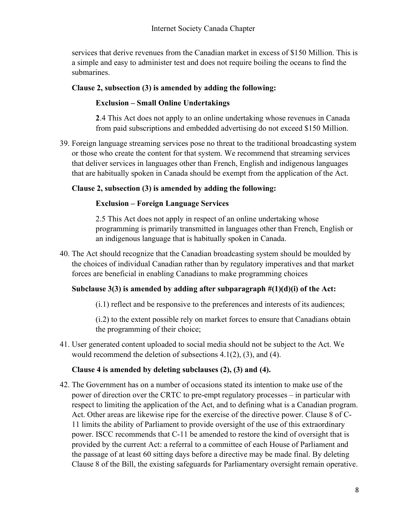services that derive revenues from the Canadian market in excess of \$150 Million. This is a simple and easy to administer test and does not require boiling the oceans to find the submarines.

#### Clause 2, subsection (3) is amended by adding the following:

#### Exclusion – Small Online Undertakings

2.4 This Act does not apply to an online undertaking whose revenues in Canada from paid subscriptions and embedded advertising do not exceed \$150 Million.

39. Foreign language streaming services pose no threat to the traditional broadcasting system or those who create the content for that system. We recommend that streaming services that deliver services in languages other than French, English and indigenous languages that are habitually spoken in Canada should be exempt from the application of the Act.

#### Clause 2, subsection (3) is amended by adding the following:

#### Exclusion – Foreign Language Services

2.5 This Act does not apply in respect of an online undertaking whose programming is primarily transmitted in languages other than French, English or an indigenous language that is habitually spoken in Canada.

40. The Act should recognize that the Canadian broadcasting system should be moulded by the choices of individual Canadian rather than by regulatory imperatives and that market forces are beneficial in enabling Canadians to make programming choices

## Subclause  $3(3)$  is amended by adding after subparagraph  $\#(1)(d)(i)$  of the Act:

(i.1) reflect and be responsive to the preferences and interests of its audiences;

(i.2) to the extent possible rely on market forces to ensure that Canadians obtain the programming of their choice;

41. User generated content uploaded to social media should not be subject to the Act. We would recommend the deletion of subsections 4.1(2), (3), and (4).

#### Clause 4 is amended by deleting subclauses (2), (3) and (4).

42. The Government has on a number of occasions stated its intention to make use of the power of direction over the CRTC to pre-empt regulatory processes – in particular with respect to limiting the application of the Act, and to defining what is a Canadian program. Act. Other areas are likewise ripe for the exercise of the directive power. Clause 8 of C-11 limits the ability of Parliament to provide oversight of the use of this extraordinary power. ISCC recommends that C-11 be amended to restore the kind of oversight that is provided by the current Act: a referral to a committee of each House of Parliament and the passage of at least 60 sitting days before a directive may be made final. By deleting Clause 8 of the Bill, the existing safeguards for Parliamentary oversight remain operative.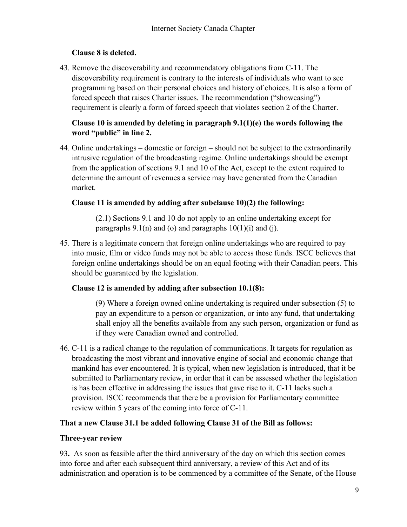## Clause 8 is deleted.

43. Remove the discoverability and recommendatory obligations from C-11. The discoverability requirement is contrary to the interests of individuals who want to see programming based on their personal choices and history of choices. It is also a form of forced speech that raises Charter issues. The recommendation ("showcasing") requirement is clearly a form of forced speech that violates section 2 of the Charter.

## Clause 10 is amended by deleting in paragraph 9.1(1)(e) the words following the word "public" in line 2.

44. Online undertakings – domestic or foreign – should not be subject to the extraordinarily intrusive regulation of the broadcasting regime. Online undertakings should be exempt from the application of sections 9.1 and 10 of the Act, except to the extent required to determine the amount of revenues a service may have generated from the Canadian market.

## Clause 11 is amended by adding after subclause 10)(2) the following:

(2.1) Sections 9.1 and 10 do not apply to an online undertaking except for paragraphs  $9.1(n)$  and (o) and paragraphs  $10(1)(i)$  and (i).

45. There is a legitimate concern that foreign online undertakings who are required to pay into music, film or video funds may not be able to access those funds. ISCC believes that foreign online undertakings should be on an equal footing with their Canadian peers. This should be guaranteed by the legislation.

## Clause 12 is amended by adding after subsection 10.1(8):

(9) Where a foreign owned online undertaking is required under subsection (5) to pay an expenditure to a person or organization, or into any fund, that undertaking shall enjoy all the benefits available from any such person, organization or fund as if they were Canadian owned and controlled.

46. C-11 is a radical change to the regulation of communications. It targets for regulation as broadcasting the most vibrant and innovative engine of social and economic change that mankind has ever encountered. It is typical, when new legislation is introduced, that it be submitted to Parliamentary review, in order that it can be assessed whether the legislation is has been effective in addressing the issues that gave rise to it. C-11 lacks such a provision. ISCC recommends that there be a provision for Parliamentary committee review within 5 years of the coming into force of C-11.

## That a new Clause 31.1 be added following Clause 31 of the Bill as follows:

## Three-year review

93. As soon as feasible after the third anniversary of the day on which this section comes into force and after each subsequent third anniversary, a review of this Act and of its administration and operation is to be commenced by a committee of the Senate, of the House